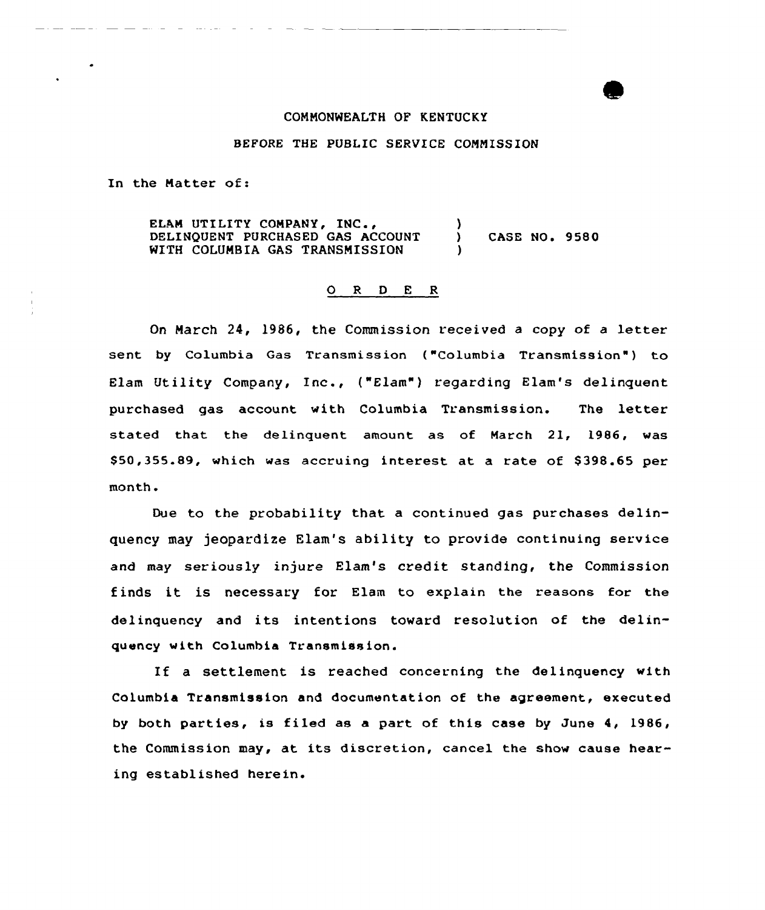## COMMONWEALTH OF KENTUCKY

## BEFORE THE PUBLIC SERVICE COMMISSION

In the Matter of:

ELAM UTILITY COMPANY, INC., DELINQUENT PURCHASED GAS ACCOUNT WITH COLUMBIA GAS TRANSMISSION  $\lambda$ ) CASE NO <sup>~</sup> 9580 )

## ORDER

On March 24, 1986, the Commission received <sup>a</sup> copy of a letter sent by Columbia Gas Transmission ("Columbia Transmission") to Elam Utility Company, Inc., ("Elam") regarding Elam's delinquent purchased gas account with Columbia Transmission. The letter stated that the delinquent amount as of March 21, 1986, was \$50,355.89, which was accruing interest at a rate of \$398.65 per month.

Due to the probability that a continued gas purchases delinquency may jeopardize Elam's ability to provide continuing service and may seriously injure Elam's credit standing, the Commission finds it is necessary for Elam to explain the reasons for the delinquency and its intentions toward resolution of the delinquency with Columbia Transmission.

If <sup>a</sup> settlement is reached concerning the delinquency with Columbia Transmission and documentation of the agreement, executed by both parties, is filed as a part of this case by June 4, 1986, the Commission may, at its discretion, cancel the show cause hearing established herein.